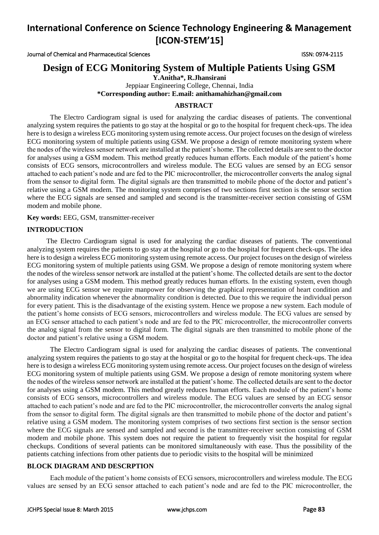Journal of Chemical and Pharmaceutical Sciences ISSN: 0974-2115

## **Design of ECG Monitoring System of Multiple Patients Using GSM**

**Y.Anitha\*, R.Jhansirani** 

Jeppiaar Engineering College, Chennai, India **\*Corresponding author: E.mail: anithamahizha[n@gmail.com](mailto:janu24182@gmail.com)**

## **ABSTRACT**

The Electro Cardiogram signal is used for analyzing the cardiac diseases of patients. The conventional analyzing system requires the patients to go stay at the hospital or go to the hospital for frequent check-ups. The idea here is to design a wireless ECG monitoring system using remote access. Our project focuses on the design of wireless ECG monitoring system of multiple patients using GSM. We propose a design of remote monitoring system where the nodes of the wireless sensor network are installed at the patient's home. The collected details are sent to the doctor for analyses using a GSM modem. This method greatly reduces human efforts. Each module of the patient's home consists of ECG sensors, microcontrollers and wireless module. The ECG values are sensed by an ECG sensor attached to each patient's node and are fed to the PIC microcontroller, the microcontroller converts the analog signal from the sensor to digital form. The digital signals are then transmitted to mobile phone of the doctor and patient's relative using a GSM modem. The monitoring system comprises of two sections first section is the sensor section where the ECG signals are sensed and sampled and second is the transmitter-receiver section consisting of GSM modem and mobile phone.

**Key words:** EEG, GSM, transmitter-receiver

## **INTRODUCTION**

 The Electro Cardiogram signal is used for analyzing the cardiac diseases of patients. The conventional analyzing system requires the patients to go stay at the hospital or go to the hospital for frequent check-ups. The idea here is to design a wireless ECG monitoring system using remote access. Our project focuses on the design of wireless ECG monitoring system of multiple patients using GSM. We propose a design of remote monitoring system where the nodes of the wireless sensor network are installed at the patient's home. The collected details are sent to the doctor for analyses using a GSM modem. This method greatly reduces human efforts. In the existing system, even though we are using ECG sensor we require manpower for observing the graphical representation of heart condition and abnormality indication whenever the abnormality condition is detected. Due to this we require the individual person for every patient. This is the disadvantage of the existing system. Hence we propose a new system. Each module of the patient's home consists of ECG sensors, microcontrollers and wireless module. The ECG values are sensed by an ECG sensor attached to each patient's node and are fed to the PIC microcontroller, the microcontroller converts the analog signal from the sensor to digital form. The digital signals are then transmitted to mobile phone of the doctor and patient's relative using a GSM modem.

The Electro Cardiogram signal is used for analyzing the cardiac diseases of patients. The conventional analyzing system requires the patients to go stay at the hospital or go to the hospital for frequent check-ups. The idea here is to design a wireless ECG monitoring system using remote access. Our project focuses on the design of wireless ECG monitoring system of multiple patients using GSM. We propose a design of remote monitoring system where the nodes of the wireless sensor network are installed at the patient's home. The collected details are sent to the doctor for analyses using a GSM modem. This method greatly reduces human efforts. Each module of the patient's home consists of ECG sensors, microcontrollers and wireless module. The ECG values are sensed by an ECG sensor attached to each patient's node and are fed to the PIC microcontroller, the microcontroller converts the analog signal from the sensor to digital form. The digital signals are then transmitted to mobile phone of the doctor and patient's relative using a GSM modem. The monitoring system comprises of two sections first section is the sensor section where the ECG signals are sensed and sampled and second is the transmitter-receiver section consisting of GSM modem and mobile phone. This system does not require the patient to frequently visit the hospital for regular checkups. Conditions of several patients can be monitored simultaneously with ease. Thus the possibility of the patients catching infections from other patients due to periodic visits to the hospital will be minimized

## **BLOCK DIAGRAM AND DESCRPTION**

 Each module of the patient's home consists of ECG sensors, microcontrollers and wireless module. The ECG values are sensed by an ECG sensor attached to each patient's node and are fed to the PIC microcontroller, the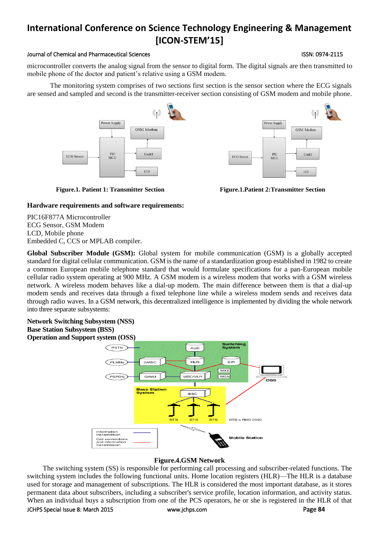### Journal of Chemical and Pharmaceutical Sciences ISSN: 0974-2115

microcontroller converts the analog signal from the sensor to digital form. The digital signals are then transmitted to mobile phone of the doctor and patient's relative using a GSM modem.

The monitoring system comprises of two sections first section is the sensor section where the ECG signals are sensed and sampled and second is the transmitter-receiver section consisting of GSM modem and mobile phone.





**Figure.1. Patient 1: Transmitter Section Figure.1.Patient 2:Transmitter Section**

## **Hardware requirements and software requirements:**

PIC16F877A Microcontroller ECG Sensor, GSM Modem LCD, Mobile phone Embedded C, CCS or MPLAB compiler.

**Global Subscriber Module (GSM):** Global system for mobile communication (GSM) is a globally accepted standard for digital cellular communication. GSM is the name of a standardization group established in 1982 to create a common European mobile telephone standard that would formulate specifications for a pan-European mobile cellular radio system operating at 900 MHz. A GSM modem is a wireless modem that works with a GSM wireless network. A wireless modem behaves like a dial-up modem. The main difference between them is that a dial-up modem sends and receives data through a fixed telephone line while a wireless modem sends and receives data through radio waves. In a GSM network, this decentralized intelligence is implemented by dividing the whole network into three separate subsystems:

## **Network Switching Subsystem (NSS) Base Station Subsystem (BSS) Operation and Support system (OSS)**



## **Figure.4.GSM Network**

 The switching system (SS) is responsible for performing call processing and subscriber-related functions. The switching system includes the following functional units. Home location registers (HLR)—The HLR is a database used for storage and management of subscriptions. The HLR is considered the most important database, as it stores permanent data about subscribers, including a subscriber's service profile, location information, and activity status. When an individual buys a subscription from one of the PCS operators, he or she is registered in the HLR of that

## JCHPS Special Issue 8: March 2015 [www.jchps.com](http://www.jchps.com/) Page **84**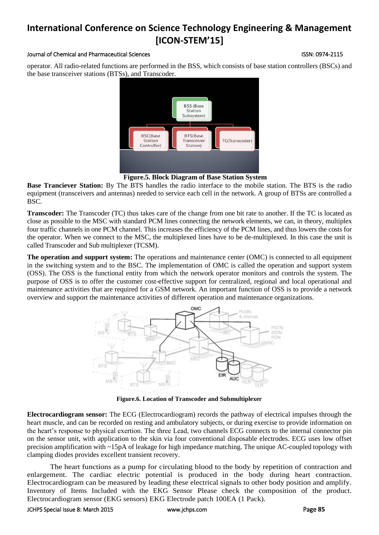### Journal of Chemical and Pharmaceutical Sciences ISSN: 0974-2115

operator. All radio-related functions are performed in the BSS, which consists of base station controllers (BSCs) and the base transceiver stations (BTSs), and Transcoder.



**Figure.5. Block Diagram of Base Station System**

**Base Tranciever Station:** By The BTS handles the radio interface to the mobile station. The BTS is the radio equipment (transceivers and antennas) needed to service each cell in the network. A group of BTSs are controlled a BSC.

**Transcoder:** The Transcoder (TC) thus takes care of the change from one bit rate to another. If the TC is located as close as possible to the MSC with standard PCM lines connecting the network elements, we can, in theory, multiplex four traffic channels in one PCM channel. This increases the efficiency of the PCM lines, and thus lowers the costs for the operator. When we connect to the MSC, the multiplexed lines have to be de-multiplexed. In this case the unit is called Transcoder and Sub multiplexer (TCSM).

**The operation and support system:** The operations and maintenance center (OMC) is connected to all equipment in the switching system and to the BSC. The implementation of OMC is called the operation and support system (OSS). The OSS is the functional entity from which the network operator monitors and controls the system. The purpose of OSS is to offer the customer cost-effective support for centralized, regional and local operational and maintenance activities that are required for a GSM network. An important function of OSS is to provide a network overview and support the maintenance activities of different operation and maintenance organizations.



**Figure.6. Location of Transcoder and Submultiplexer**

**Electrocardiogram sensor:** The ECG (Electrocardiogram) records the pathway of electrical impulses through the heart muscle, and can be recorded on resting and ambulatory subjects, or during exercise to provide information on the heart's response to physical exertion. The three Lead, two channels ECG connects to the internal connector pin on the sensor unit, with application to the skin via four conventional disposable electrodes. ECG uses low offset precision amplification with ~15pA of leakage for high impedance matching. The unique AC-coupled topology with clamping diodes provides excellent transient recovery.

The heart functions as a pump for circulating blood to the body by repetition of contraction and enlargement. The cardiac electric potential is produced in the body during heart contraction. Electrocardiogram can be measured by leading these electrical signals to other body position and amplify. Inventory of Items Included with the EKG Sensor Please check the composition of the product. Electrocardiogram sensor (EKG sensors) EKG Electrode patch 100EA (1 Pack).

### JCHPS Special Issue 8: March 2015 [www.jchps.com](http://www.jchps.com/) Page **85**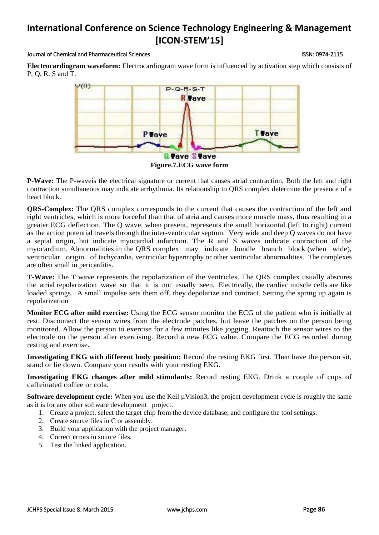### Journal of Chemical and Pharmaceutical Sciences ISSN: 0974-2115

**Electrocardiogram waveform:** Electrocardiogram wave form is influenced by activation step which consists of P, Q, R, S and T.



**P-Wave:** The P-waveis the electrical signature or current that causes atrial contraction. Both the left and right contraction simultaneous may indicate arrhythmia. Its relationship to QRS complex determine the presence of a heart block.

**QRS-Complex:** The QRS complex corresponds to the current that causes the contraction of the left and right ventricles, which is more forceful than that of atria and causes more muscle mass, thus resulting in a greater ECG deflection. The Q wave, when present, represents the small horizontal (left to right) current as the action potential travels through the inter-ventricular septum. Very wide and deep Q waves do not have a septal origin, but indicate myocardial infarction. The R and S waves indicate contraction of the myocardium. Abnormalities in the QRS complex may indicate bundle branch block (when wide), ventricular origin of tachycardia, ventricular hypertrophy or other ventricular abnormalities. The complexes are often small in pericarditis.

**T-Wave:** The T wave represents the repolarization of the ventricles. The QRS complex usually abscures the atrial repolarization wave so that it is not usually seen. Electrically, the cardiac muscle cells are like loaded springs. A small impulse sets them off, they depolarize and contract. Setting the spring up again is repolarization

**Monitor ECG after mild exercise:** Using the ECG sensor monitor the ECG of the patient who is initially at rest. Disconnect the sensor wires from the electrode patches, but leave the patches on the person being monitored. Allow the person to exercise for a few minutes like jogging. Reattach the sensor wires to the electrode on the person after exercising. Record a new ECG value. Compare the ECG recorded during resting and exercise.

**Investigating EKG with different body position:** Record the resting EKG first. Then have the person sit, stand or lie down. Compare your results with your resting EKG.

**Investigating EKG changes after mild stimulants:** Record resting EKG. Drink a couple of cups of caffeinated coffee or cola.

**Software development cycle:** When you use the Keil µVision3, the project development cycle is roughly the same as it is for any other software development project.

- 1. Create a project, select the target chip from the device database, and configure the tool settings.
- 2. Create source files in C or assembly.
- 3. Build your application with the project manager.
- 4. Correct errors in source files.
- 5. Test the linked application.